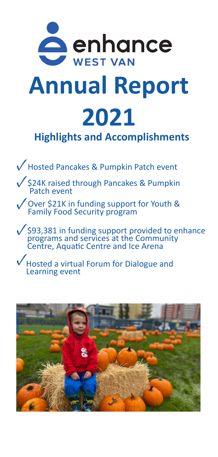

## **Annual Report 2021 Highlights and Accomplishments**